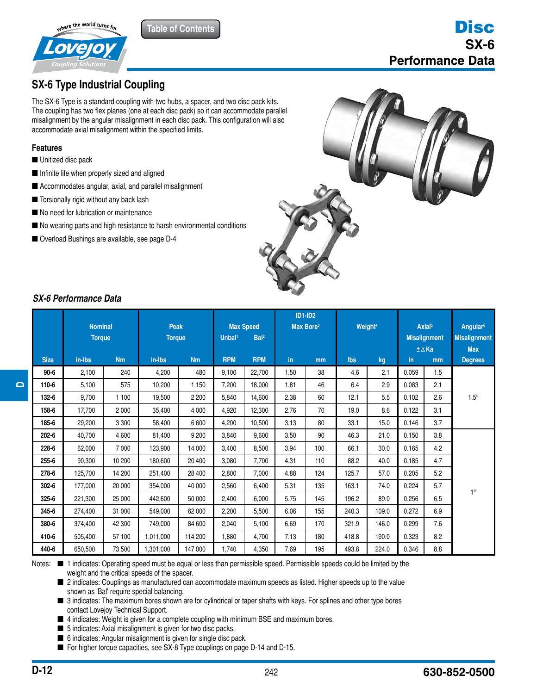

# **SX-6 Type Industrial Coupling**

**The SX-6 Type is a standard coupling with two hubs, a spacer, and two disc pack kits.** The coupling has two flex planes (one at each disc pack) so it can accommodate parallel misalignment by the angular misalignment in each disc pack. This configuration will also accommodate axial misalignment within the specified limits.

**Table of Contents**

#### **Features**

- Unitized disc pack
- **Infinite life when properly sized and aligned**
- Accommodates angular, axial, and parallel misalignment
- Torsionally rigid without any back lash
- No need for lubrication or maintenance
- No wearing parts and high resistance to harsh environmental conditions
- Overload Bushings are available, see page D-4



## *SX-6 Performance Data*

|             | <b>Nominal</b><br><b>Torque</b> |           | <b>Peak</b><br><b>Torque</b> |           | <b>Max Speed</b><br>Bal <sup>2</sup><br>Unbal <sup>1</sup> |            | <b>ID1-ID2</b><br>Max Bore <sup>3</sup> |     | Weight <sup>4</sup> |       | Axial <sup>5</sup><br><b>Misalignment</b><br>±∆Ka |     | Angular <sup>6</sup><br><b>Misalignment</b><br><b>Max</b> |
|-------------|---------------------------------|-----------|------------------------------|-----------|------------------------------------------------------------|------------|-----------------------------------------|-----|---------------------|-------|---------------------------------------------------|-----|-----------------------------------------------------------|
| <b>Size</b> | in-Ibs                          | <b>Nm</b> | in-Ibs                       | <b>Nm</b> | <b>RPM</b>                                                 | <b>RPM</b> | in.                                     | mm  | <b>lbs</b>          | kg    | in.                                               | mm  | <b>Degrees</b>                                            |
| $90 - 6$    | 2,100                           | 240       | 4,200                        | 480       | 9,100                                                      | 22,700     | 1.50                                    | 38  | 4.6                 | 2.1   | 0.059                                             | 1.5 |                                                           |
| 110-6       | 5,100                           | 575       | 10.200                       | 1 1 5 0   | 7,200                                                      | 18.000     | 1.81                                    | 46  | 6.4                 | 2.9   | 0.083                                             | 2.1 |                                                           |
| 132-6       | 9,700                           | 1 100     | 19,500                       | 2 2 0 0   | 5,840                                                      | 14,600     | 2.38                                    | 60  | 12.1                | 5.5   | 0.102                                             | 2.6 | $1.5^\circ$                                               |
| 158-6       | 17,700                          | 2000      | 35,400                       | 4 0 0 0   | 4,920                                                      | 12,300     | 2.76                                    | 70  | 19.0                | 8.6   | 0.122                                             | 3.1 |                                                           |
| 185-6       | 29,200                          | 3 3 0 0   | 58,400                       | 6600      | 4.200                                                      | 10,500     | 3.13                                    | 80  | 33.1                | 15.0  | 0.146                                             | 3.7 |                                                           |
| 202-6       | 40,700                          | 4600      | 81,400                       | 9 200     | 3,840                                                      | 9,600      | 3.50                                    | 90  | 46.3                | 21.0  | 0.150                                             | 3.8 |                                                           |
| 228-6       | 62,000                          | 7 0 0 0   | 123,900                      | 14 000    | 3,400                                                      | 8,500      | 3.94                                    | 100 | 66.1                | 30.0  | 0.165                                             | 4.2 |                                                           |
| 255-6       | 90,300                          | 10 200    | 180,600                      | 20 400    | 3,080                                                      | 7,700      | 4.31                                    | 110 | 88.2                | 40.0  | 0.185                                             | 4.7 |                                                           |
| 278-6       | 125.700                         | 14 200    | 251,400                      | 28 400    | 2,800                                                      | 7,000      | 4.88                                    | 124 | 125.7               | 57.0  | 0.205                                             | 5.2 |                                                           |
| $302 - 6$   | 177,000                         | 20 000    | 354,000                      | 40 000    | 2,560                                                      | 6,400      | 5.31                                    | 135 | 163.1               | 74.0  | 0.224                                             | 5.7 | $1^\circ$                                                 |
| $325 - 6$   | 221,300                         | 25 000    | 442,600                      | 50 000    | 2,400                                                      | 6,000      | 5.75                                    | 145 | 196.2               | 89.0  | 0.256                                             | 6.5 |                                                           |
| 345-6       | 274,400                         | 31 000    | 549,000                      | 62 000    | 2,200                                                      | 5,500      | 6.06                                    | 155 | 240.3               | 109.0 | 0.272                                             | 6.9 |                                                           |
| 380-6       | 374,400                         | 42 300    | 749,000                      | 84 600    | 2,040                                                      | 5,100      | 6.69                                    | 170 | 321.9               | 146.0 | 0.299                                             | 7.6 |                                                           |
| 410-6       | 505,400                         | 57 100    | 1,011,000                    | 114 200   | 1.880                                                      | 4,700      | 7.13                                    | 180 | 418.8               | 190.0 | 0.323                                             | 8.2 |                                                           |
| 440-6       | 650,500                         | 73 500    | 1,301,000                    | 147 000   | 1,740                                                      | 4,350      | 7.69                                    | 195 | 493.8               | 224.0 | 0.346                                             | 8.8 |                                                           |

Notes:  $\blacksquare$  1 indicates: Operating speed must be equal or less than permissible speed. Permissible speeds could be limited by the weight and the critical speeds of the spacer.

■ 2 indicates: Couplings as manufactured can accommodate maximum speeds as listed. Higher speeds up to the value shown as 'Bal' require special balancing.

■ 3 indicates: The maximum bores shown are for cylindrical or taper shafts with keys. For splines and other type bores contact Lovejoy Technical Support contact Lovejoy Technical Support.

 $\blacksquare$  4 indicates: Weight is given for a complete coupling with minimum BSE and maximum bores.

- $\blacksquare$  5 indicates: Axial misalignment is given for two disc packs.
- 6 indicates: Angular misalignment is given for single disc pack.
- For higher torque capacities, see SX-8 Type couplings on page D-14 and D-15.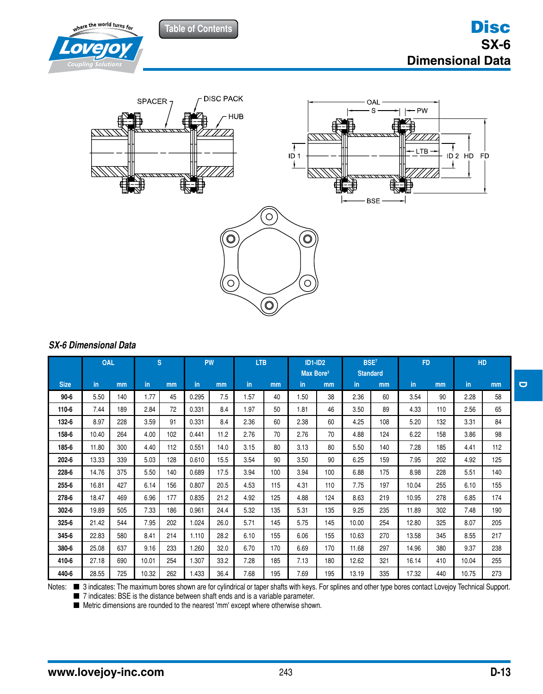**Table of Contents**





## *SX-6 Dimensional Data*

|             | <b>OAL</b> |     | S.    |     | <b>PW</b> |      | <b>LTB</b> |     | <b>ID1-ID2</b><br>Max Bore <sup>3</sup> |     | BSE <sup>7</sup><br><b>Standard</b> |     | <b>FD</b> |     | <b>HD</b> |     |
|-------------|------------|-----|-------|-----|-----------|------|------------|-----|-----------------------------------------|-----|-------------------------------------|-----|-----------|-----|-----------|-----|
| <b>Size</b> | in.        | mm  | in.   | mm  | in.       | mm   | in         | mm  | in                                      | mm  | in.                                 | mm  | in        | mm  | in.       | mm  |
| $90 - 6$    | 5.50       | 140 | 1.77  | 45  | 0.295     | 7.5  | 1.57       | 40  | 1.50                                    | 38  | 2.36                                | 60  | 3.54      | 90  | 2.28      | 58  |
| 110-6       | 7.44       | 189 | 2.84  | 72  | 0.331     | 8.4  | 1.97       | 50  | 1.81                                    | 46  | 3.50                                | 89  | 4.33      | 110 | 2.56      | 65  |
| 132-6       | 8.97       | 228 | 3.59  | 91  | 0.331     | 8.4  | 2.36       | 60  | 2.38                                    | 60  | 4.25                                | 108 | 5.20      | 132 | 3.31      | 84  |
| 158-6       | 10.40      | 264 | 4.00  | 102 | 0.441     | 11.2 | 2.76       | 70  | 2.76                                    | 70  | 4.88                                | 124 | 6.22      | 158 | 3.86      | 98  |
| 185-6       | 11.80      | 300 | 4.40  | 112 | 0.551     | 14.0 | 3.15       | 80  | 3.13                                    | 80  | 5.50                                | 140 | 7.28      | 185 | 4.41      | 112 |
| 202-6       | 13.33      | 339 | 5.03  | 128 | 0.610     | 15.5 | 3.54       | 90  | 3.50                                    | 90  | 6.25                                | 159 | 7.95      | 202 | 4.92      | 125 |
| 228-6       | 14.76      | 375 | 5.50  | 140 | 0.689     | 17.5 | 3.94       | 100 | 3.94                                    | 100 | 6.88                                | 175 | 8.98      | 228 | 5.51      | 140 |
| 255-6       | 16.81      | 427 | 6.14  | 156 | 0.807     | 20.5 | 4.53       | 115 | 4.31                                    | 110 | 7.75                                | 197 | 10.04     | 255 | 6.10      | 155 |
| 278-6       | 18.47      | 469 | 6.96  | 177 | 0.835     | 21.2 | 4.92       | 125 | 4.88                                    | 124 | 8.63                                | 219 | 10.95     | 278 | 6.85      | 174 |
| 302-6       | 19.89      | 505 | 7.33  | 186 | 0.961     | 24.4 | 5.32       | 135 | 5.31                                    | 135 | 9.25                                | 235 | 11.89     | 302 | 7.48      | 190 |
| 325-6       | 21.42      | 544 | 7.95  | 202 | 1.024     | 26.0 | 5.71       | 145 | 5.75                                    | 145 | 10.00                               | 254 | 12.80     | 325 | 8.07      | 205 |
| 345-6       | 22.83      | 580 | 8.41  | 214 | 1.110     | 28.2 | 6.10       | 155 | 6.06                                    | 155 | 10.63                               | 270 | 13.58     | 345 | 8.55      | 217 |
| 380-6       | 25.08      | 637 | 9.16  | 233 | 1.260     | 32.0 | 6.70       | 170 | 6.69                                    | 170 | 11.68                               | 297 | 14.96     | 380 | 9.37      | 238 |
| 410-6       | 27.18      | 690 | 10.01 | 254 | 1.307     | 33.2 | 7.28       | 185 | 7.13                                    | 180 | 12.62                               | 321 | 16.14     | 410 | 10.04     | 255 |
| 440-6       | 28.55      | 725 | 10.32 | 262 | 1.433     | 36.4 | 7.68       | 195 | 7.69                                    | 195 | 13.19                               | 335 | 17.32     | 440 | 10.75     | 273 |

Notes: 3 indicates: The maximum bores shown are for cylindrical or taper shafts with keys. For splines and other type bores contact Lovejoy Technical Support.

■ 7 indicates: BSE is the distance between shaft ends and is a variable parameter.

■ Metric dimensions are rounded to the nearest 'mm' except where otherwise shown.

**D**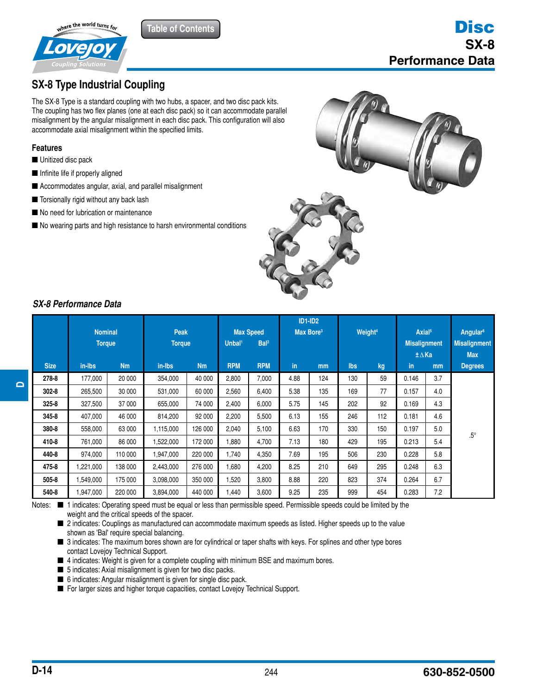

# **SX-8 Type Industrial Coupling**

**The SX-8 Type is a standard coupling with two hubs, a spacer, and two disc pack kits.** The coupling has two flex planes (one at each disc pack) so it can accommodate parallel misalignment by the angular misalignment in each disc pack. This configuration will also accommodate axial misalignment within the specified limits.

**Table of Contents**

#### **Features**

- Unitized disc pack
- Infinite life if properly aligned **CJ**
- Accommodates angular, axial, and parallel misalignment
- Torsionally rigid without any back lash
- No need for lubrication or maintenance
- No wearing parts and high resistance to harsh environmental conditions





**D**

### *SX-8 Performance Data* **HP**

|             | <b>Nominal</b><br><b>Torque</b> |           | <b>Peak</b><br><b>Torque</b> |                | <b>Max Speed</b><br>Bal <sup>2</sup><br>Unbal <sup>1</sup> |            | <b>ID1-ID2</b><br>Max Bore <sup>3</sup> |     | Weight <sup>4</sup> |     | Axial <sup>5</sup><br><b>Misalignment</b> |     | Angular <sup>6</sup><br><b>Misalignment</b> |
|-------------|---------------------------------|-----------|------------------------------|----------------|------------------------------------------------------------|------------|-----------------------------------------|-----|---------------------|-----|-------------------------------------------|-----|---------------------------------------------|
|             |                                 |           |                              |                |                                                            |            |                                         |     |                     |     | ±∆Ka                                      |     | <b>Max</b>                                  |
| <b>Size</b> | in-Ibs                          | <b>Nm</b> | in-Ibs                       | N <sub>m</sub> | <b>RPM</b>                                                 | <b>RPM</b> | in                                      | mm  | Ibs                 | kg  | in.                                       | mm  | <b>Degrees</b>                              |
| 278-8       | 177,000                         | 20 000    | 354,000                      | 40 000         | 2,800                                                      | 7,000      | 4.88                                    | 124 | 130                 | 59  | 0.146                                     | 3.7 |                                             |
| $302 - 8$   | 265,500                         | 30 000    | 531,000                      | 60 000         | 2,560                                                      | 6,400      | 5.38                                    | 135 | 169                 | 77  | 0.157                                     | 4.0 |                                             |
| $325 - 8$   | 327,500                         | 37 000    | 655,000                      | 74 000         | 2,400                                                      | 6,000      | 5.75                                    | 145 | 202                 | 92  | 0.169                                     | 4.3 |                                             |
| 345-8       | 407,000                         | 46 000    | 814,200                      | 92 000         | 2,200                                                      | 5,500      | 6.13                                    | 155 | 246                 | 112 | 0.181                                     | 4.6 |                                             |
| 380-8       | 558,000                         | 63 000    | 1,115,000                    | 126 000        | 2,040                                                      | 5,100      | 6.63                                    | 170 | 330                 | 150 | 0.197                                     | 5.0 | $.5^{\circ}$                                |
| 410-8       | 761,000                         | 86 000    | 1,522,000                    | 172 000        | 1,880                                                      | 4,700      | 7.13                                    | 180 | 429                 | 195 | 0.213                                     | 5.4 |                                             |
| 440-8       | 974,000                         | 110 000   | 1,947,000                    | 220 000        | 1,740                                                      | 4,350      | 7.69                                    | 195 | 506                 | 230 | 0.228                                     | 5.8 |                                             |
| 475-8       | ,221,000                        | 138 000   | 2,443,000                    | 276 000        | 1,680                                                      | 4,200      | 8.25                                    | 210 | 649                 | 295 | 0.248                                     | 6.3 |                                             |
| 505-8       | .549,000                        | 175 000   | 3,098,000                    | 350 000        | 1,520                                                      | 3,800      | 8.88                                    | 220 | 823                 | 374 | 0.264                                     | 6.7 |                                             |
| 540-8       | 1,947,000                       | 220 000   | 3,894,000                    | 440 000        | 1,440                                                      | 3,600      | 9.25                                    | 235 | 999                 | 454 | 0.283                                     | 7.2 |                                             |

Notes:  $\blacksquare$  1 indicates: Operating speed must be equal or less than permissible speed. Permissible speeds could be limited by the weight and the critical speeds of the spacer.

■ 2 indicates: Couplings as manufactured can accommodate maximum speeds as listed. Higher speeds up to the value 2 indicates: Couplings as manufactured of shown as 'Bal' require special balancing.

■ 3 indicates: The maximum bores shown are for cylindrical or taper shafts with keys. For splines and other type bores contact Lovejoy Technical Support.

■ 4 indicates: Weight is given for a complete coupling with minimum BSE and maximum bores.

■ 1 indicates: Axial misalignment is given for two disc packs.

■ 6 indicates: Angular misalignment is given for single disc pack.

■ For larger sizes and higher torque capacities, contact Lovejoy Technical Support.